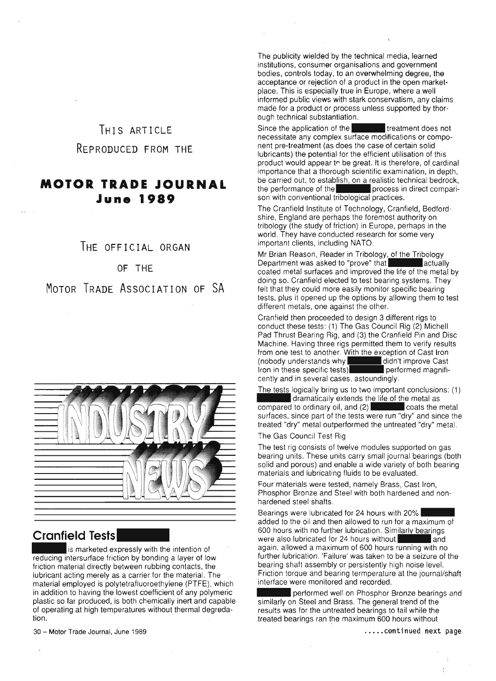## THIS ARTICLE REPRODUCED FROM THE

### **MOTOR TRADE JOURNAL June 1989**

#### THE OFFICIAL ORGAN

#### OF THE

MOTOR TRADE ASSOCIATION OF SA



# **Cranfield Tests**<br>**is marketed expressly with the intention of**

reducing intersurface friction by bonding a layer of low friction material directly between rubbing contacts, the lubricant acting merely as a carrier for the material. The material employed is polytetrafluoroethylene (PTFE), which in addition to having the lowest coefficient of any polymeric plastic so far produced, is both chemically inert and capable of operating at high temperatures without thermal degredation.

The publicity wielded by the technical media, learned institutions, consumer organisations and government bodies, controls today, to an overwhelming degree, the acceptance or rejection of a product in the open marketplace. This is especially true in Europe, where a well informed public views with stark conservatism, any claims made for a product or process unless supported by thorough technical substantiation.

Since the application of the **the treatment does not** necessitate any complex surface modifications or component pre-treatment (as does the case of certain solid lubricants) the potential for the efficient utilisation of this product would appear to be great. It is therefore, of cardinal importance that a thorough scientific examination, in depth, be carried out, to establish, on a realistic technical bedrock, the performance of the **process** in direct comparison with conventional tribological practices.

The Cranfield Institute of Technology, Cranfield, Bedfordshire, England are perhaps the foremost authority on tribology (the study of friction) in Europe, perhaps in the world, They have conducted research for some very important clients, including NATO,

Mr Brian Reason, Reader in Tribology, of the Tribology Department was asked to "prove" that and actually coated metal surfaces and improved the life of the metal by doing so, Cranfield elected to test bearing systems. They felt that they could more easily monitor specific bearing tests, plus it opened up the options by allowing them to test different metals, one against the other.

Cranfield then proceeded to design 3 different rigs to conduct these tests : (1) The Gas Council Rig (2) Michell Pad Thrust Bearing Rig, and (3) the Cranfield Pin and Disc Machine, Having three rigs permitted them to verify results from one test to another. With the exception of Cast Iron (nobody understands why didn't improve Cast Iron in these specific tests) performed magnificently and in several cases, astoundingly,

The tests logically bring us to two important conclusions: (1)<br>dramatically extends the life of the metal as dramatically extends the life of the metal as<br>d to ordinary oil, and (2) coats the metal  $\overline{\text{compared}}$  to ordinary oil, and (2) surfaces, since part of the tests were run "dry" and since the treated "dry" metal outperformed the untreated "dry" metal,

The Gas Council Test Rig

 $\sim$ 

The test rig consists of twelve modules supported on gas bearing units. These units carry small journal bearings (both solid and porous) and enable a wide variety of both bearing materials and lubricating fluids to be evaluated.

Four materials were tested, namely Brass, Cast Iron, Phosphor Bronze and Steel with both hardened and nonhardened steel shafts,

Bearings were lubricated for 24 hours with 20% added to the oil and then allowed to run for a maximum of 600 hours with no further lubrication. Similarly bearings were also lubricated for 24 hours without **Fig. 1.1** and again, allowed a maximum of 600 hours running with no further lubrication. 'Failure' was taken to be a seizure of the bearing shaft assembly or persistently high noise level. Friction torque and bearing termperature at the journal/shaft interface were monitored and recorded.

**••••** performed well on Phosphor Bronze bearings and similarly on Steel and Brass. The general trend of the results was for the untreated bearings to fail while the treated bearings ran the maximum 600 hours without

30 - Motor Trade Journal, June 1989

..... continued next page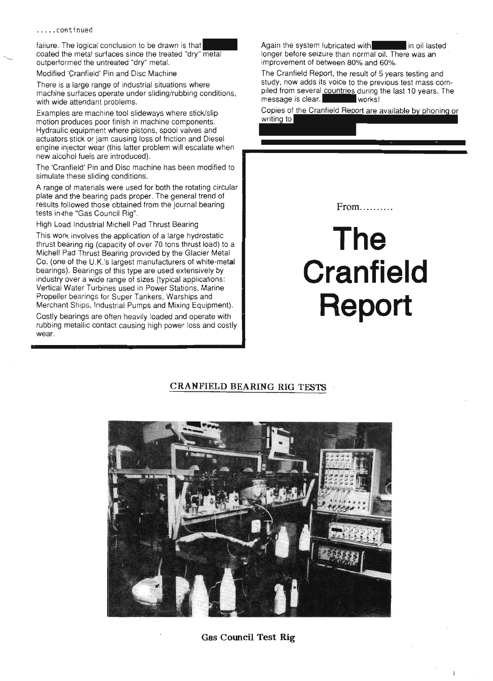failure. The logical conclusion to be drawn is that coated the metal surfaces since the treated "dry" metal outperformed the untreated "dry" metal.

Modified 'Cranfield' Pin and Disc Machine

There is a large range of industrial situations where machine surfaces operate under sliding/rubbing conditions, with wide attendant problems.

Examples are machine tool slideways where stick/slip motion produces poor finish in machine components. Hydraulic equipment where pistons, spool valves and actuators stick or jam causing loss of friction and Diesel engine injector wear (this latter problem will escalate when new alcohol fuels are introduced).

The 'Cranfield' Pin and Disc machine has been modified to simulate these sliding conditions.

A range of materials were used for both the rotating circular plate and the bearing pads proper. The general trend of results followed those obtained from the journal bearing tests in the "Gas Council Rig".

High Load Industrial Michell Pad Thrust Bearing

This work involves the application of a large hydrostatic thrust bearing rig (capacity of over 70 tons thrust load) to a Michell Pad Thrust Bearing provided by the Glacier Metal Co. (one of the U.K.'s largest manufacturers of white-metal bearings). Bearings of this type are used extensively by industry over a wide range of sizes (typical applications: Vertical Water Turbines used in Power Stations, Marine Propeller bearings for Super Tankers, Warships and Merchant Ships, Industrial Pumps and Mixing Equipment).

Costly bearings are often heavily loaded and operate with rubbing metallic contact causing high power loss and costly wear.

Again the system lubricated with **in the system** in oil lasted longer before seizure than normal oil. There was an improvement of between 80% and 60%.

The Cranfield Report, the result of 5 years testing and study, now adds its voice to the previous test mass compiled from several countries during the last 10 years. The message is clear. message is clear.

Copies of the Cranfield Report are available by phoning or writing to

From..........

# **The Cranfield Report**

#### **CRANFIELD BEARING RIG TESTS**



**Gas Council Test Rig**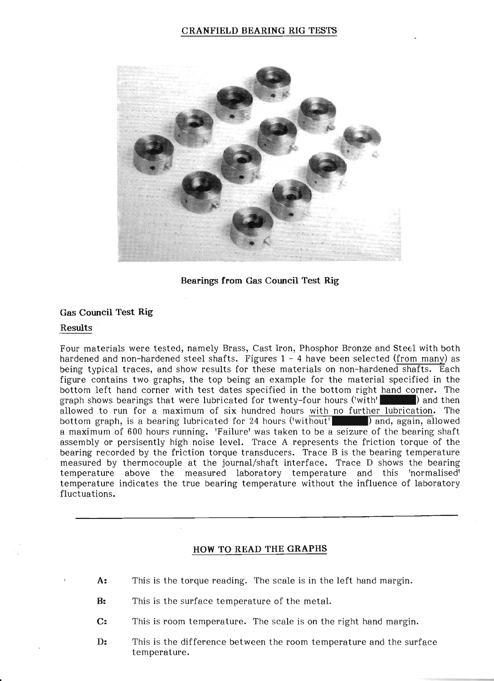

Bearings from Gas Council Test Rig

#### Gas Council Test Rig

#### Results

Four materials were tested, namely Brass, Cast Iron, Phosphor Bronze and Stetl with both hardened and non-hardened steel shafts. Figures 1 - 4 have been selected (from many) as being typical traces, and show results for these materials on non-hardened shafts. Each being typical traces, and show results for these materials on non-nardened sharts. Each<br>figure contains two graphs, the top being an example for the material specified in the<br>bottom left hand corner with test dates specifi bottom left hand corner with test dates specified in the bottom right hand corner. The allowed to run for a maximum of six hundred hours with no further lubrication. The bottom graph, is a bearing lubricated for 24 hours ('without' ) and, again, allowed a maximum of 600 hours running. 'Failure' was taken to be a seizure of the bearing shaft assembly or persisently high noise level. Trace A represents the friction torque of the bearing recorded by the friction torque transducers. Trace B is the bearing temperature measured by thermocouple at the journal/shaft interface. Trace D shows the bearing temperature above the measured laboratory temperature and this 'normalised' temperature indicates the true bearing temperature without the influence of laboratory fluctuations.

#### HOW TO READ THE GRAPHS

- A: This is the torque reading. The scale is in the left hand margin.
- B: This is the surface temperature of the metal.
- C: This is room temperature. The scale is on the right hand margin.
- D: This is the difference between the room temperature and the surface temperature.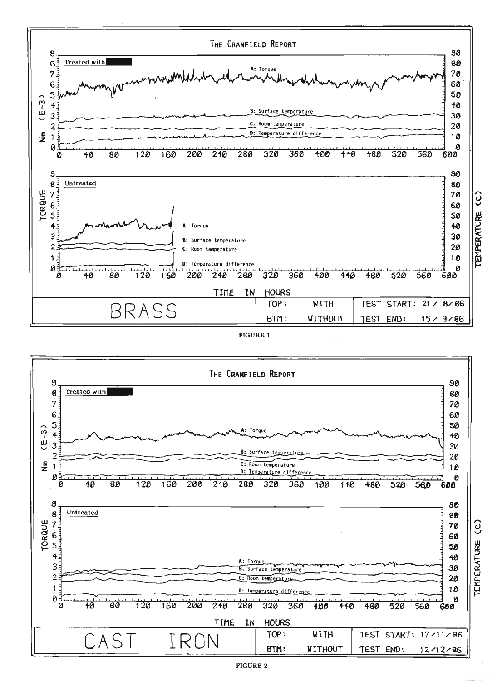





**FIGURE 2** 

TEMPERATURE (C)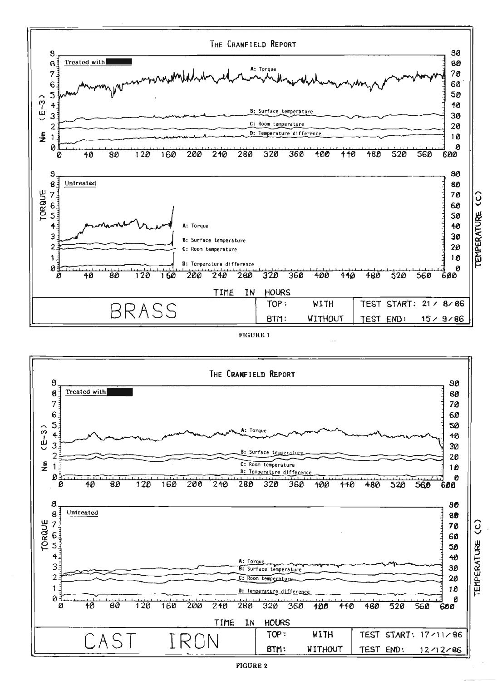





**FIGURE 2** 

TEMPERATURE (C)